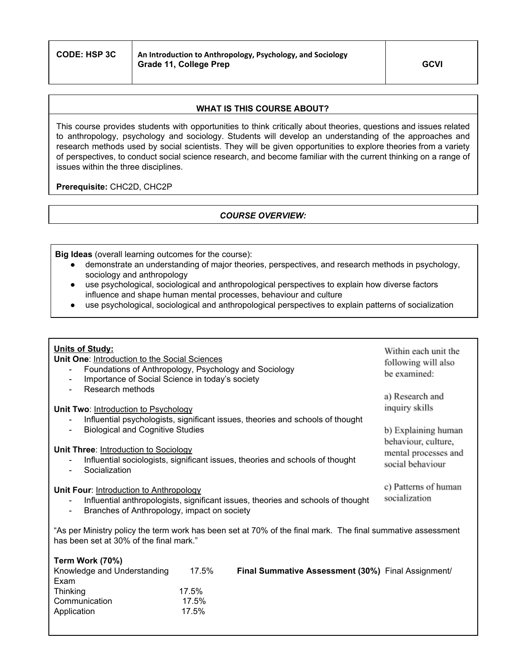## **WHAT IS THIS COURSE ABOUT?**

This course provides students with opportunities to think critically about theories, questions and issues related to anthropology, psychology and sociology. Students will develop an understanding of the approaches and research methods used by social scientists. They will be given opportunities to explore theories from a variety of perspectives, to conduct social science research, and become familiar with the current thinking on a range of issues within the three disciplines.

**Prerequisite:** CHC2D, CHC2P

# *COURSE OVERVIEW:*

**Big Ideas** (overall learning outcomes for the course):

- demonstrate an understanding of major theories, perspectives, and research methods in psychology, sociology and anthropology
- use psychological, sociological and anthropological perspectives to explain how diverse factors influence and shape human mental processes, behaviour and culture
- use psychological, sociological and anthropological perspectives to explain patterns of socialization

| <b>Units of Study:</b><br><b>Unit One: Introduction to the Social Sciences</b><br>Foundations of Anthropology, Psychology and Sociology<br>Importance of Social Science in today's society<br>$\overline{\phantom{a}}$ | Within each unit the<br>following will also<br>be examined:                            |
|------------------------------------------------------------------------------------------------------------------------------------------------------------------------------------------------------------------------|----------------------------------------------------------------------------------------|
| Research methods<br>Unit Two: Introduction to Psychology<br>Influential psychologists, significant issues, theories and schools of thought                                                                             | a) Research and<br>inquiry skills                                                      |
| <b>Biological and Cognitive Studies</b><br>Unit Three: Introduction to Sociology<br>Influential sociologists, significant issues, theories and schools of thought<br>Socialization                                     | b) Explaining human<br>behaviour, culture,<br>mental processes and<br>social behaviour |
| Unit Four: Introduction to Anthropology<br>Influential anthropologists, significant issues, theories and schools of thought<br>Branches of Anthropology, impact on society<br>$\blacksquare$                           | c) Patterns of human<br>socialization                                                  |
| "As per Ministry policy the term work has been set at 70% of the final mark. The final summative assessment<br>has been set at 30% of the final mark."                                                                 |                                                                                        |
| Term Work (70%)                                                                                                                                                                                                        |                                                                                        |

| $I$ GIIII YYUIN (1 V /0 I<br>Knowledge and Understanding<br>Exam | 17.5%    | <b>Final Summative Assessment (30%)</b> Final Assignment/ |
|------------------------------------------------------------------|----------|-----------------------------------------------------------|
| <b>Thinking</b>                                                  | $17.5\%$ |                                                           |
| Communication                                                    | 17.5%    |                                                           |
| Application                                                      | 17.5%    |                                                           |
|                                                                  |          |                                                           |